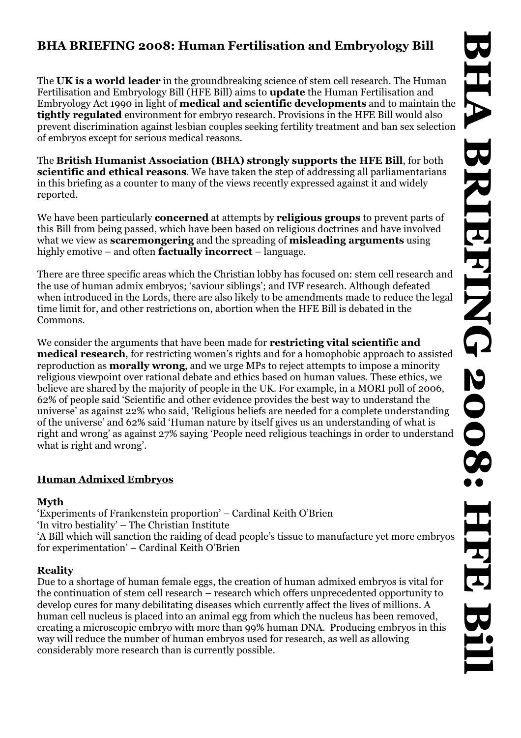# **BHA BRIEFING 2008: Human Fertilisation and Embryology Bill**

The **UK is a world leader** in the groundbreaking science of stem cell research. The Human Fertilisation and Embryology Bill (HFE Bill) aims to **update** the Human Fertilisation and Embryology Act 1990 in light of **medical and scientific developments** and to maintain the **tightly regulated** environment for embryo research. Provisions in the HFE Bill would also prevent discrimination against lesbian couples seeking fertility treatment and ban sex selection of embryos except for serious medical reasons.

The **British Humanist Association (BHA) strongly supports the HFE Bill**, for both **scientific and ethical reasons**. We have taken the step of addressing all parliamentarians in this briefing as a counter to many of the views recently expressed against it and widely reported.

We have been particularly **concerned** at attempts by **religious groups** to prevent parts of this Bill from being passed, which have been based on religious doctrines and have involved what we view as **scaremongering** and the spreading of **misleading arguments** using highly emotive – and often **factually incorrect** – language.

There are three specific areas which the Christian lobby has focused on: stem cell research and the use of human admix embryos; 'saviour siblings'; and IVF research. Although defeated when introduced in the Lords, there are also likely to be amendments made to reduce the legal time limit for, and other restrictions on, abortion when the HFE Bill is debated in the Commons.

We consider the arguments that have been made for **restricting vital scientific and medical research**, for restricting women's rights and for a homophobic approach to assisted reproduction as **morally wrong**, and we urge MPs to reject attempts to impose a minority religious viewpoint over rational debate and ethics based on human values. These ethics, we believe are shared by the majority of people in the UK. For example, in a MORI poll of 2006, 62% of people said 'Scientific and other evidence provides the best way to understand the universe' as against 22% who said, 'Religious beliefs are needed for a complete understanding of the universe' and 62% said 'Human nature by itself gives us an understanding of what is right and wrong' as against 27% saying 'People need religious teachings in order to understand what is right and wrong'.

## **Human Admixed Embryos**

## **Myth**

'Experiments of Frankenstein proportion' – Cardinal Keith O'Brien 'In vitro bestiality' – The Christian Institute 'A Bill which will sanction the raiding of dead people's tissue to manufacture yet more embryos for experimentation' – Cardinal Keith O'Brien

## **Reality**

Due to a shortage of human female eggs, the creation of human admixed embryos is vital for the continuation of stem cell research – research which offers unprecedented opportunity to develop cures for many debilitating diseases which currently affect the lives of millions. A human cell nucleus is placed into an animal egg from which the nucleus has been removed, creating a microscopic embryo with more than 99% human DNA. Producing embryos in this way will reduce the number of human embryos used for research, as well as allowing considerably more research than is currently possible.